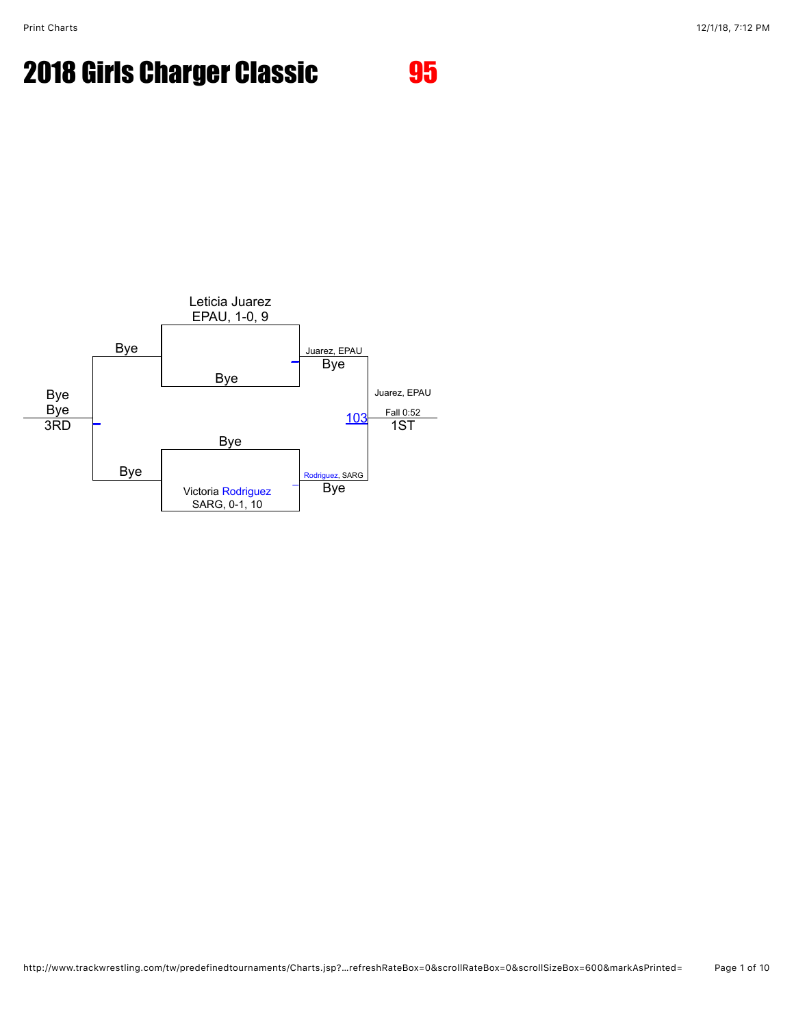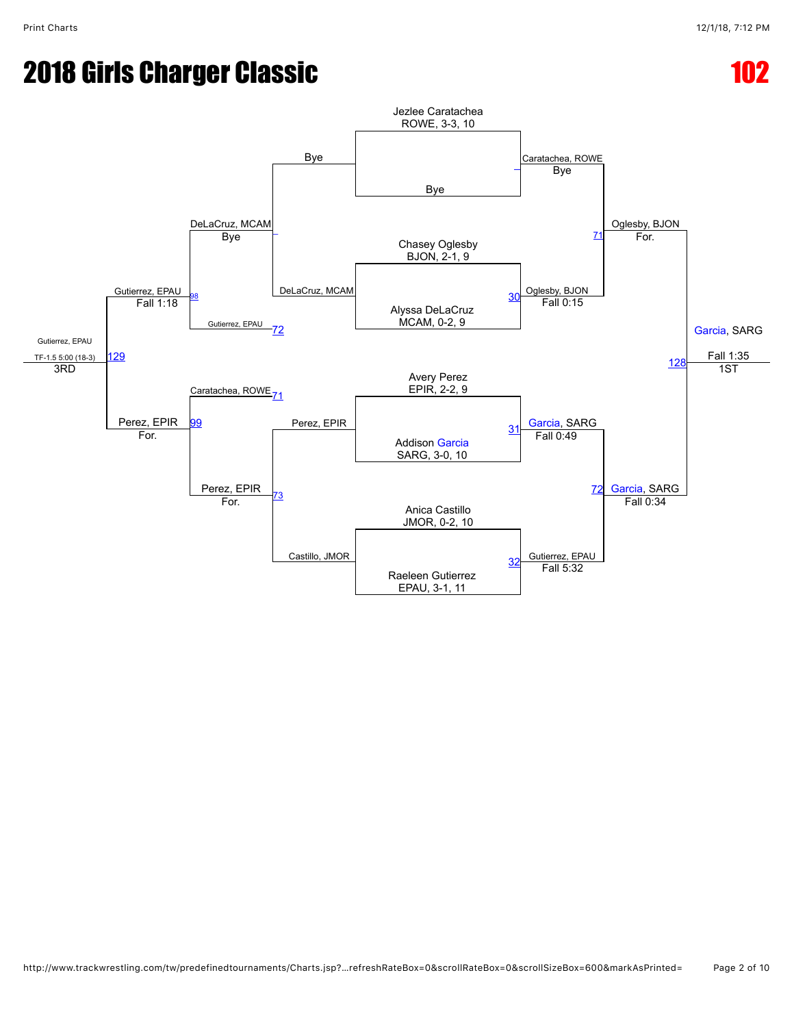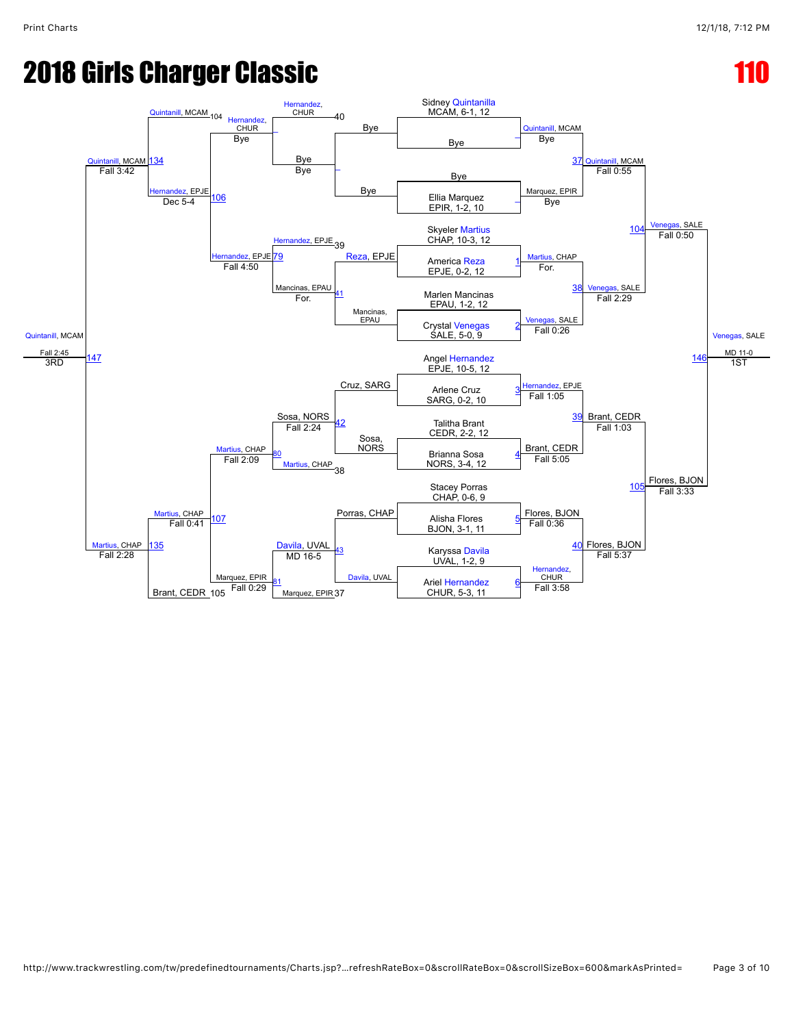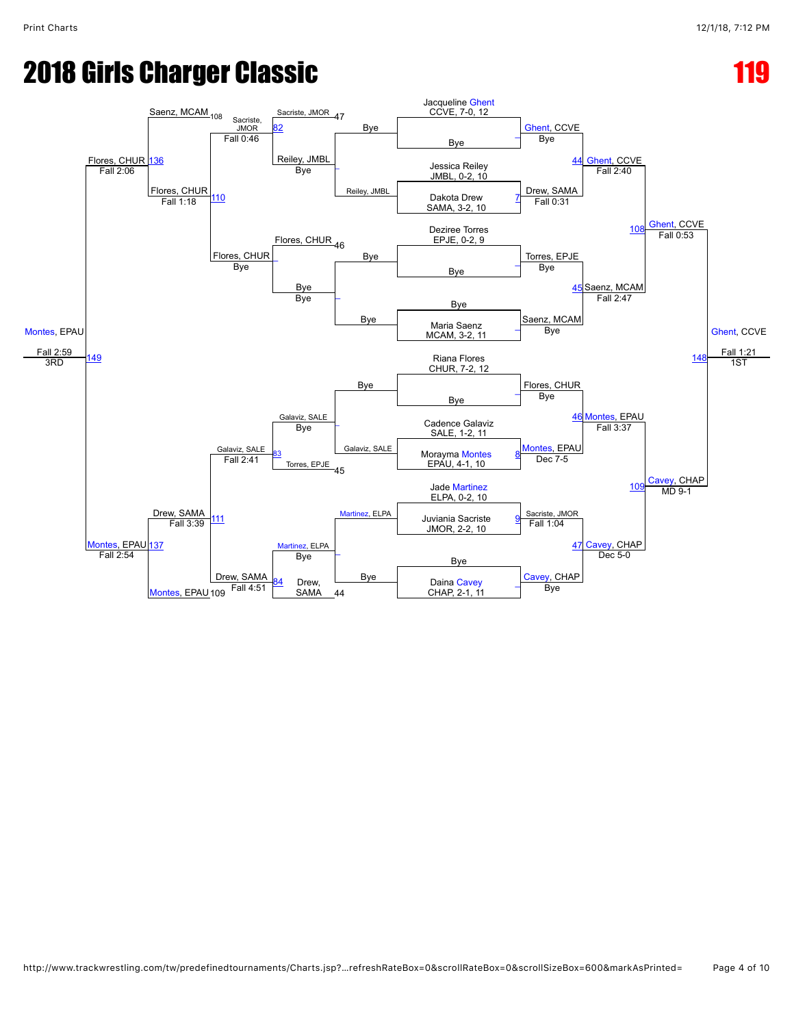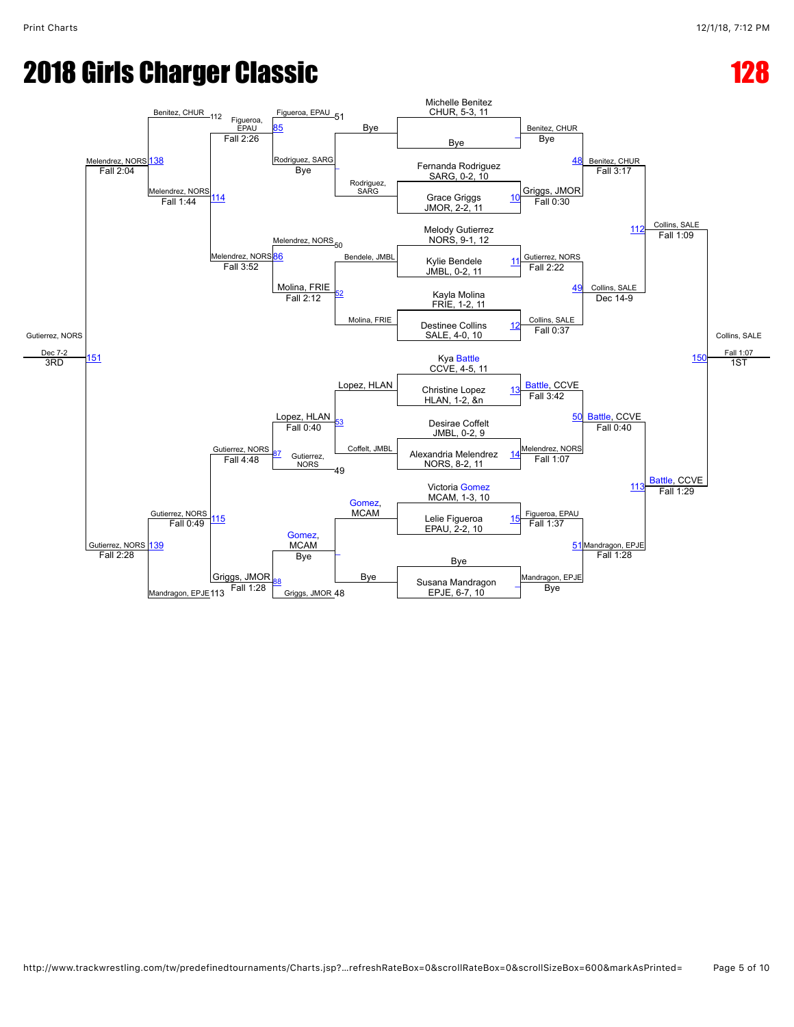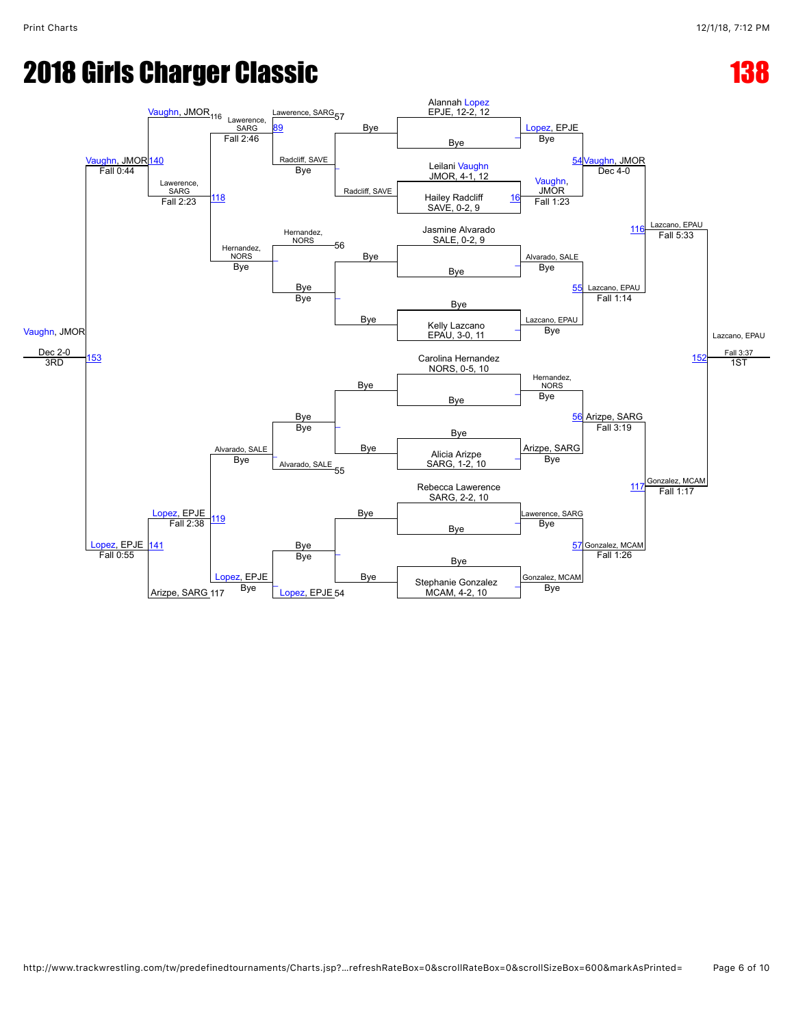# **2018 Girls Charger Classic 138 and 2018 Girls Charger Classic**

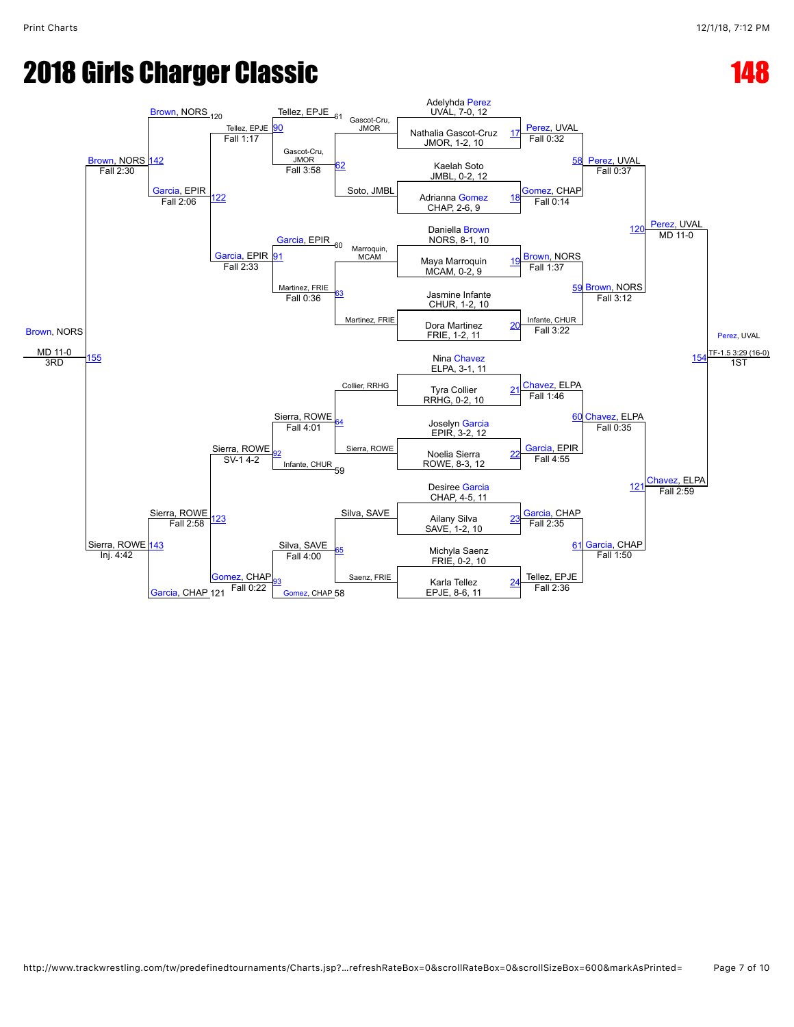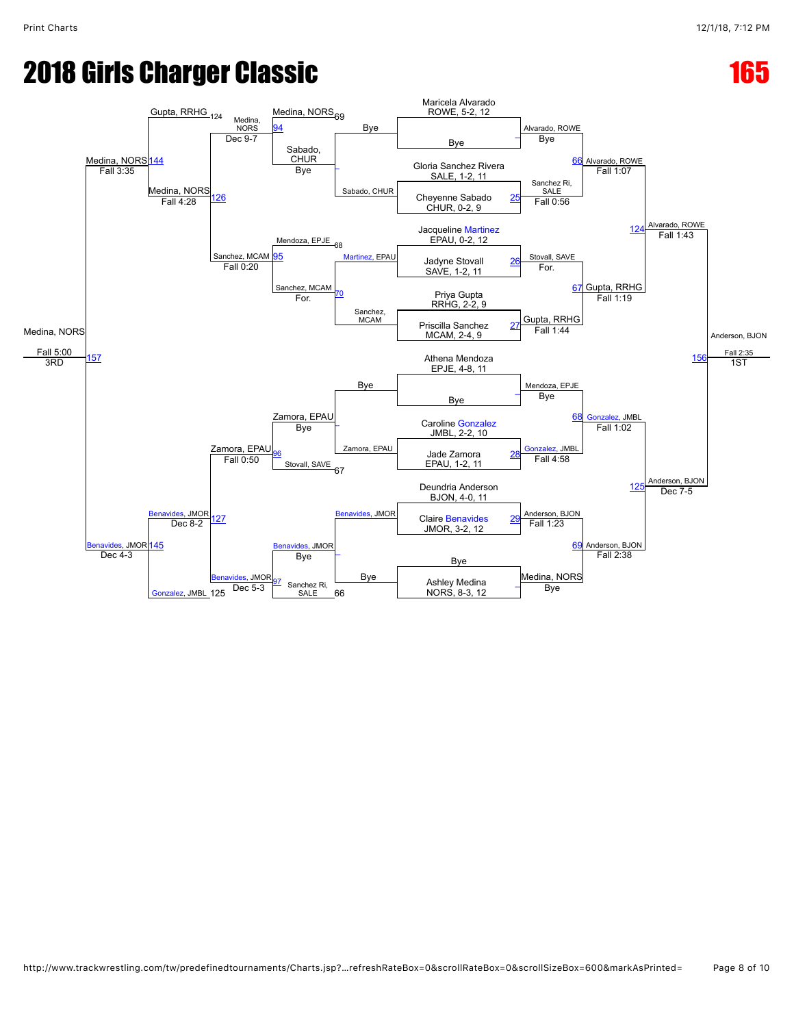# **2018 Girls Charger Classic 165 and 2018 Girls Charger Classic**

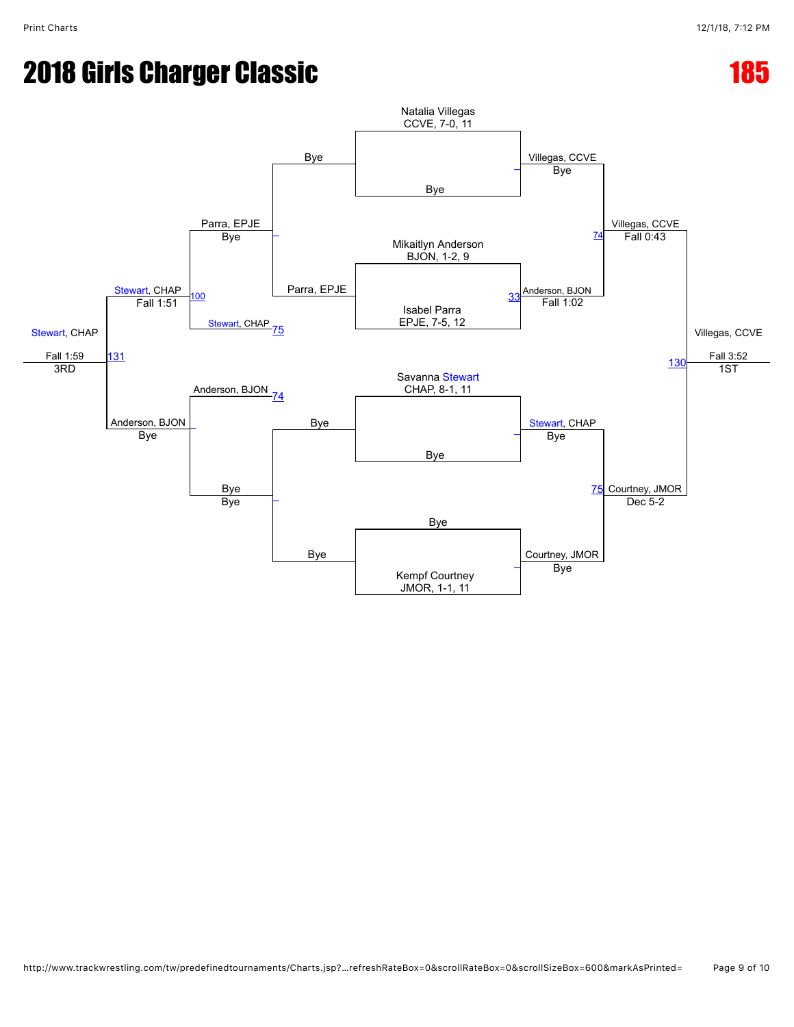# **2018 Girls Charger Classic 185 and 2018 Girls Charger Classic**